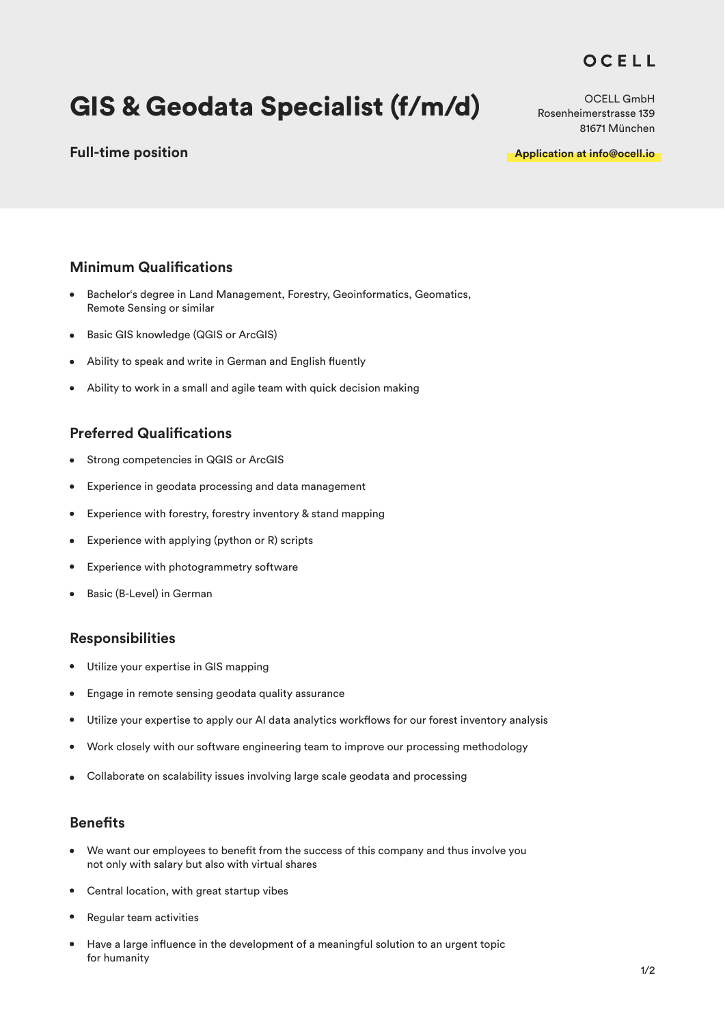## OCELL

# GIS & Geodata Specialist (f/m/d)

## **Full-time position**

OCELL GmbH Rosenheimerstrasse 139 81671 München

**Application at info@ocell.io**

## **Minimum Qualifications**

- $\bullet$ Bachelor's degree in Land Management, Forestry, Geoinformatics, Geomatics, Remote Sensing or similar
- Basic GIS knowledge (QGIS or ArcGIS)
- Ability to speak and write in German and English fluently
- Ability to work in a small and agile team with quick decision making  $\bullet$

### **Preferred Qualifications**

- Strong competencies in QGIS or ArcGIS  $\bullet$
- Experience in geodata processing and data management  $\bullet$
- Experience with forestry, forestry inventory & stand mapping  $\bullet$
- Experience with applying (python or R) scripts  $\bullet$
- Experience with photogrammetry software
- Basic (B-Level) in German

#### **Responsibilities**

- $\bullet$ Utilize your expertise in GIS mapping
- Engage in remote sensing geodata quality assurance
- Utilize your expertise to apply our AI data analytics workflows for our forest inventory analysis  $\bullet$
- Work closely with our software engineering team to improve our processing methodology  $\bullet$
- Collaborate on scalability issues involving large scale geodata and processing  $\bullet$

#### **Benefits**

- We want our employees to benefit from the success of this company and thus involve you not only with salary but also with virtual shares
- Central location, with great startup vibes  $\bullet$
- Regular team activities
- Have a large influence in the development of a meaningful solution to an urgent topic for humanity